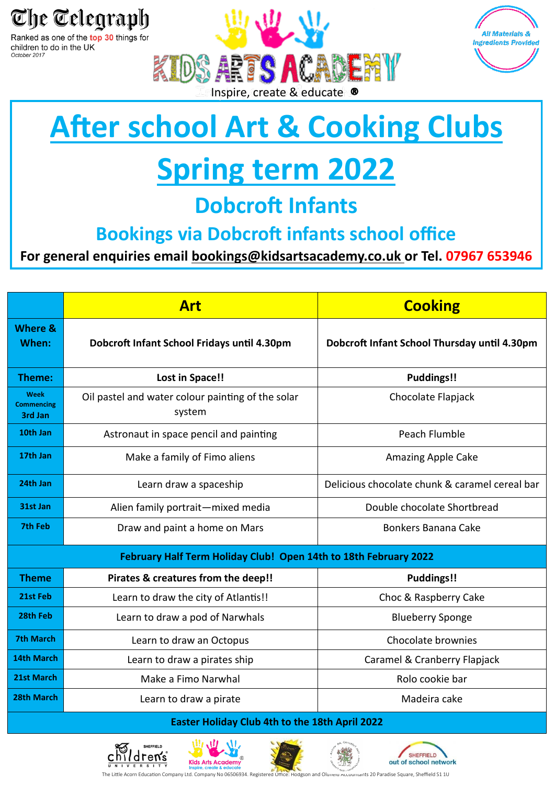

children to do in the UK October 2017





## **After school Art & Cooking Clubs**

## **Spring term 2022**

### **Dobcroft Infants**

#### **Bookings via Dobcroft infants school office**

**For general enquiries email bookings@kidsartsacademy.co.uk or Tel. 07967 653946**

|                                                                  | <b>Art</b>                                                  | <b>Cooking</b>                                 |
|------------------------------------------------------------------|-------------------------------------------------------------|------------------------------------------------|
| Where &<br>When:                                                 | Dobcroft Infant School Fridays until 4.30pm                 | Dobcroft Infant School Thursday until 4.30pm   |
| Theme:                                                           | <b>Lost in Space!!</b>                                      | <b>Puddings!!</b>                              |
| Week<br><b>Commencing</b><br>3rd Jan                             | Oil pastel and water colour painting of the solar<br>system | Chocolate Flapjack                             |
| 10th Jan                                                         | Astronaut in space pencil and painting                      | Peach Flumble                                  |
| 17th Jan                                                         | Make a family of Fimo aliens                                | <b>Amazing Apple Cake</b>                      |
| 24th Jan                                                         | Learn draw a spaceship                                      | Delicious chocolate chunk & caramel cereal bar |
| 31st Jan                                                         | Alien family portrait-mixed media                           | Double chocolate Shortbread                    |
| 7th Feb                                                          | Draw and paint a home on Mars                               | Bonkers Banana Cake                            |
| February Half Term Holiday Club! Open 14th to 18th February 2022 |                                                             |                                                |
| <b>Theme</b>                                                     | Pirates & creatures from the deep!!                         | Puddings!!                                     |
| 21st Feb                                                         | Learn to draw the city of Atlantis!!                        | Choc & Raspberry Cake                          |
| 28th Feb                                                         | Learn to draw a pod of Narwhals                             | <b>Blueberry Sponge</b>                        |
| <b>7th March</b>                                                 | Learn to draw an Octopus                                    | Chocolate brownies                             |
| 14th March                                                       | Learn to draw a pirates ship                                | Caramel & Cranberry Flapjack                   |
| 21st March                                                       | Make a Fimo Narwhal                                         | Rolo cookie bar                                |
| 28th March                                                       | Learn to draw a pirate                                      | Madeira cake                                   |

#### **Easter Holiday Club 4th to the 18th April 2022**









The Little Acorn Education Company Ltd. Company No 06506934. Registered Office: Hodgson and Olgnein Accountants 20 Paradise Square, Sheffield S1 1U